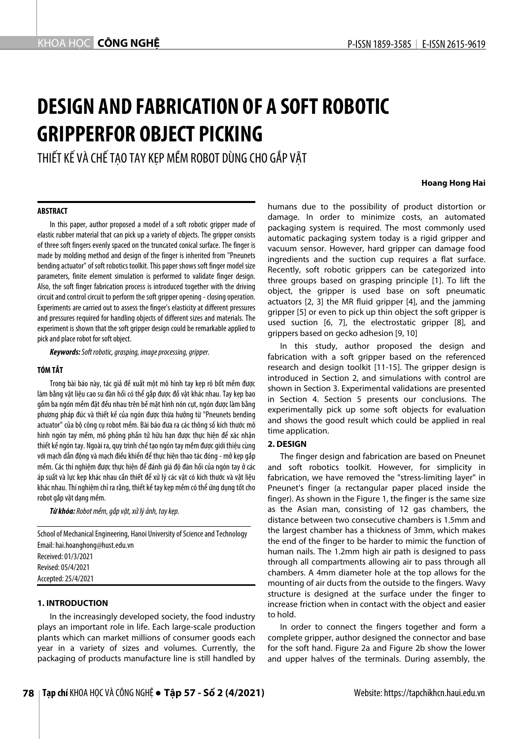# **DESIGN AND FABRICATION OF A SOFT ROBOTIC GRIPPERFOR OBJECT PICKING**

THIẾT KẾ VÀ CHẾ TAO TAY KEP MỀM ROBOT DÙNG CHO GẮP VẤT

#### **Hoang Hong Hai**

## **ABSTRACT**

In this paper, author proposed a model of a soft robotic gripper made of elastic rubber material that can pick up a variety of objects. The gripper consists of three soft fingers evenly spaced on the truncated conical surface. The finger is made by molding method and design of the finger is inherited from "Pneunets bending actuator" of soft robotics toolkit. This paper shows soft finger model size parameters, finite element simulation is performed to validate finger design. Also, the soft finger fabrication process is introduced together with the driving circuit and control circuit to perform the soft gripper opening - closing operation. Experiments are carried out to assess the finger's elasticity at different pressures and pressures required for handling objects of different sizes and materials. The experiment is shown that the soft gripper design could be remarkable applied to pick and place robot for soft object.

*Keywords:Soft robotic, grasping, image processing, gripper.*

## **TÓM TẮT**

Trong bài báo này, tác giả đề xuất một mô hình tay kẹp rô bốt mềm được làm bằng vật liệu cao su đàn hồi có thể gắp được đồ vật khác nhau. Tay kẹp bao gồm ba ngón mềm đặt đều nhau trên bề mặt hình nón cụt, ngón được làm bằng phương pháp đúc và thiết kế của ngón được thừa hưởng từ "Pneunets bending actuator" của bộ công cụ robot mềm. Bài báo đưa ra các thông số kích thước mô hình ngón tay mềm, mô phỏng phần tử hữu hạn được thực hiện để xác nhận thiết kế ngón tay. Ngoài ra, quy trình chế tạo ngón tay mềm được giới thiệu cùng với mạch dẫn động và mạch điều khiển để thực hiện thao tác đóng - mở kẹp gắp mềm. Các thí nghiệm được thực hiện để đánh giá độ đàn hồi của ngón tay ở các áp suất và lực kẹp khác nhau cần thiết để xử lý các vật có kích thước và vật liệu khác nhau. Thí nghiệm chỉ ra rằng, thiết kế tay kẹp mềm có thể ứng dụng tốt cho robot gắp vật dạng mềm.

*Từ khóa: Robot mềm, gắp vật, xử lý ảnh, tay kẹp.*

School of Mechanical Engineering, Hanoi University of Science and Technology Email: hai.hoanghong@hust.edu.vn Received: 01/3/2021 Revised: 05/4/2021 Accepted: 25/4/2021

## **1. INTRODUCTION**

In the increasingly developed society, the food industry plays an important role in life. Each large-scale production plants which can market millions of consumer goods each year in a variety of sizes and volumes. Currently, the packaging of products manufacture line is still handled by

humans due to the possibility of product distortion or damage. In order to minimize costs, an automated packaging system is required. The most commonly used automatic packaging system today is a rigid gripper and vacuum sensor. However, hard gripper can damage food ingredients and the suction cup requires a flat surface. Recently, soft robotic grippers can be categorized into three groups based on grasping principle [1]. To lift the object, the gripper is used base on soft pneumatic actuators [2, 3] the MR fluid gripper [4], and the jamming gripper [5] or even to pick up thin object the soft gripper is used suction [6, 7], the electrostatic gripper [8], and grippers based on gecko adhesion [9, 10]

In this study, author proposed the design and fabrication with a soft gripper based on the referenced research and design toolkit [11-15]. The gripper design is introduced in Section 2, and simulations with control are shown in Section 3. Experimental validations are presented in Section 4. Section 5 presents our conclusions. The experimentally pick up some soft objects for evaluation and shows the good result which could be applied in real time application.

### **2. DESIGN**

The finger design and fabrication are based on Pneunet and soft robotics toolkit. However, for simplicity in fabrication, we have removed the "stress-limiting layer" in Pneunet's finger (a rectangular paper placed inside the finger). As shown in the Figure 1, the finger is the same size as the Asian man, consisting of 12 gas chambers, the distance between two consecutive chambers is 1.5mm and the largest chamber has a thickness of 3mm, which makes the end of the finger to be harder to mimic the function of human nails. The 1.2mm high air path is designed to pass through all compartments allowing air to pass through all chambers. A 4mm diameter hole at the top allows for the mounting of air ducts from the outside to the fingers. Wavy structure is designed at the surface under the finger to increase friction when in contact with the object and easier to hold.

In order to connect the fingers together and form a complete gripper, author designed the connector and base for the soft hand. Figure 2a and Figure 2b show the lower and upper halves of the terminals. During assembly, the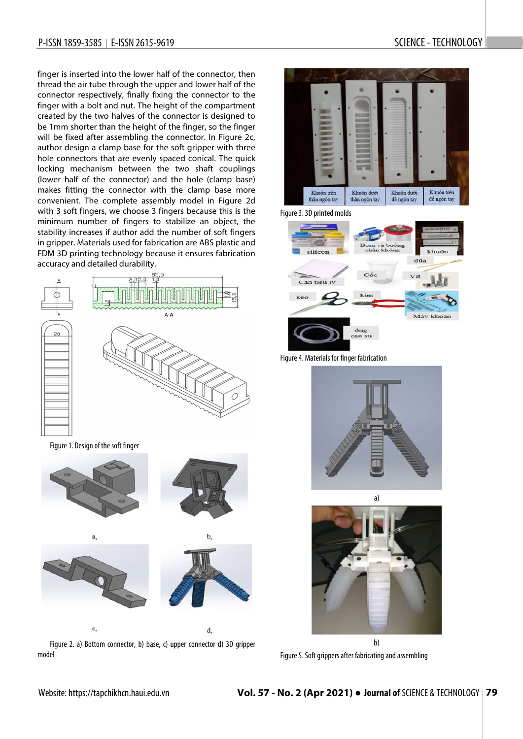## P-ISSN 1859-3585 | E-ISSN 2615-9619 SCIENCE - TECHNOLOGY

finger is inserted into the lower half of the connector, then thread the air tube through the upper and lower half of the connector respectively, finally fixing the connector to the finger with a bolt and nut. The height of the compartment created by the two halves of the connector is designed to be 1mm shorter than the height of the finger, so the finger will be fixed after assembling the connector. In Figure 2c, author design a clamp base for the soft gripper with three hole connectors that are evenly spaced conical. The quick locking mechanism between the two shaft couplings (lower half of the connector) and the hole (clamp base) makes fitting the connector with the clamp base more convenient. The complete assembly model in Figure 2d with 3 soft fingers, we choose 3 fingers because this is the minimum number of fingers to stabilize an object, the stability increases if author add the number of soft fingers in gripper. Materials used for fabrication are ABS plastic and FDM 3D printing technology because it ensures fabrication accuracy and detailed durability.



Figure 1. Design of the soft finger



c,





d,

Figure 2. a) Bottom connector, b) base, c) upper connector d) 3D gripper model



֡֡֡֡֡֡



Figure 3. 3D printed molds



Figure 4. Materials for finger fabrication





Figure 5. Soft grippers after fabricating and assembling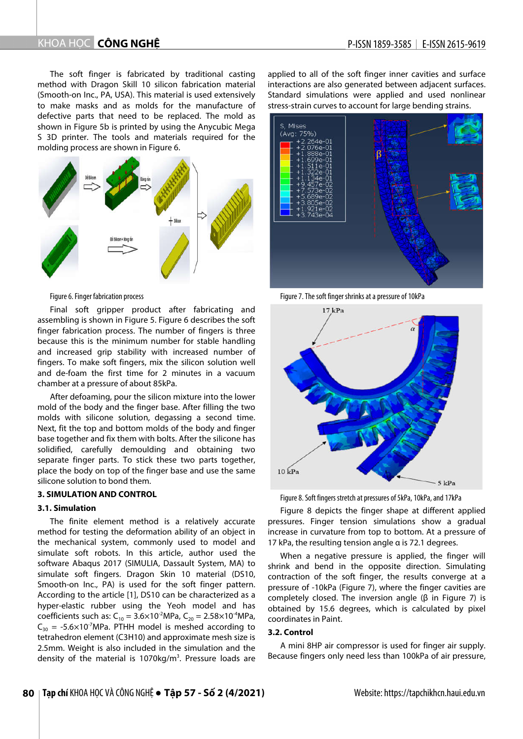# KHOA HOC CÔNG NGHÊ

The soft finger is fabricated by traditional casting method with Dragon Skill 10 silicon fabrication material (Smooth-on Inc., PA, USA). This material is used extensively to make masks and as molds for the manufacture of defective parts that need to be replaced. The mold as shown in Figure 5b is printed by using the Anycubic Mega S 3D printer. The tools and materials required for the molding process are shown in Figure 6.



#### Figure 6. Finger fabrication process

Final soft gripper product after fabricating and assembling is shown in Figure 5. Figure 6 describes the soft finger fabrication process. The number of fingers is three because this is the minimum number for stable handling and increased grip stability with increased number of fingers. To make soft fingers, mix the silicon solution well and de-foam the first time for 2 minutes in a vacuum chamber at a pressure of about 85kPa.

After defoaming, pour the silicon mixture into the lower mold of the body and the finger base. After filling the two molds with silicone solution, degassing a second time. Next, fit the top and bottom molds of the body and finger base together and fix them with bolts. After the silicone has solidified, carefully demoulding and obtaining two separate finger parts. To stick these two parts together, place the body on top of the finger base and use the same silicone solution to bond them.

## **3. SIMULATION AND CONTROL**

## **3.1. Simulation**

The finite element method is a relatively accurate method for testing the deformation ability of an object in the mechanical system, commonly used to model and simulate soft robots. In this article, author used the software Abaqus 2017 (SIMULIA, Dassault System, MA) to simulate soft fingers. Dragon Skin 10 material (DS10, Smooth-on Inc., PA) is used for the soft finger pattern. According to the article [1], DS10 can be characterized as a hyper-elastic rubber using the Yeoh model and has coefficients such as:  $C_{10} = 3.6 \times 10^{-2}$ MPa,  $C_{20} = 2.58 \times 10^{-4}$ MPa,  $C_{30}$  = -5.6×10<sup>-7</sup>MPa. PTHH model is meshed according to tetrahedron element (C3H10) and approximate mesh size is 2.5mm. Weight is also included in the simulation and the density of the material is 1070kg/m<sup>3</sup>. Pressure loads are applied to all of the soft finger inner cavities and surface interactions are also generated between adjacent surfaces. Standard simulations were applied and used nonlinear stress-strain curves to account for large bending strains.



Figure 7. The soft finger shrinks at a pressure of 10kPa



Figure 8.Soft fingers stretch at pressures of 5kPa, 10kPa, and 17kPa

Figure 8 depicts the finger shape at different applied pressures. Finger tension simulations show a gradual increase in curvature from top to bottom. At a pressure of 17 kPa, the resulting tension angle α is 72.1 degrees.

When a negative pressure is applied, the finger will shrink and bend in the opposite direction. Simulating contraction of the soft finger, the results converge at a pressure of -10kPa (Figure 7), where the finger cavities are completely closed. The inversion angle (β in Figure 7) is obtained by 15.6 degrees, which is calculated by pixel coordinates in Paint.

#### **3.2. Control**

A mini 8HP air compressor is used for finger air supply. Because fingers only need less than 100kPa of air pressure,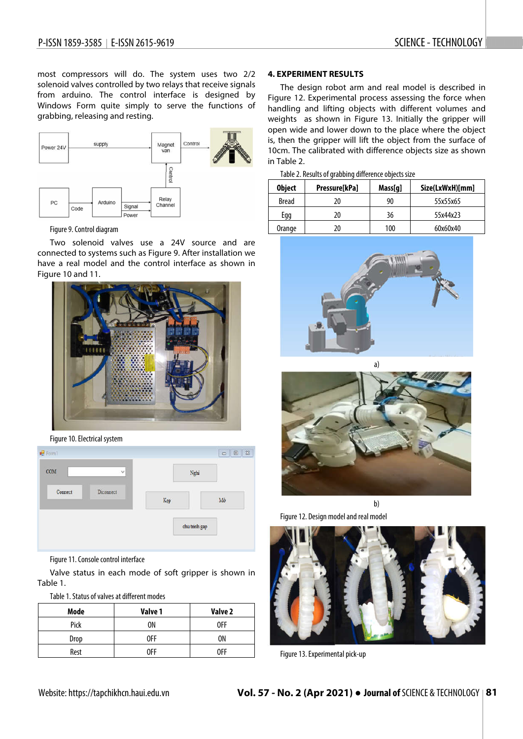֡֡֡֡֡֡

most compressors will do. The system uses two 2/2 solenoid valves controlled by two relays that receive signals from arduino. The control interface is designed by Windows Form quite simply to serve the functions of grabbing, releasing and resting.



### Figure 9. Control diagram

Two solenoid valves use a 24V source and are connected to systems such as Figure 9. After installation we have a real model and the control interface as shown in Figure 10 and 11.



Figure 10. Electrical system

| COM     | v         |     | Nghi          |
|---------|-----------|-----|---------------|
| Connect | Diconnect | Kep | $\rm Mo$      |
|         |           |     | chu trinh gap |

Figure 11. Console control interface

Valve status in each mode of soft gripper is shown in Table 1.

Table 1.Status of valves at different modes

| Mode | Valve 1 | Valve 2 |
|------|---------|---------|
| Pick | 0N      | 0FF     |
| Drop | 0FF     | ΟN      |
| Rest | 0FF     | 0FF     |

### **4. EXPERIMENT RESULTS**

The design robot arm and real model is described in Figure 12. Experimental process assessing the force when handling and lifting objects with different volumes and weights as shown in Figure 13. Initially the gripper will open wide and lower down to the place where the object is, then the gripper will lift the object from the surface of 10cm. The calibrated with difference objects size as shown in Table 2.

| Table 2. Results of grabbing difference objects size |  |  |
|------------------------------------------------------|--|--|
|                                                      |  |  |

| <b>Object</b> | Pressure[kPa] | Mass[q] | Size(LxWxH)[mm] |
|---------------|---------------|---------|-----------------|
| <b>Bread</b>  | 20            | 90      | 55x55x65        |
| Egg           | 20            | 36      | 55x44x23        |
| Orange        | 20            | 100     | 60x60x40        |





b)



Figure 13. Experimental pick-up